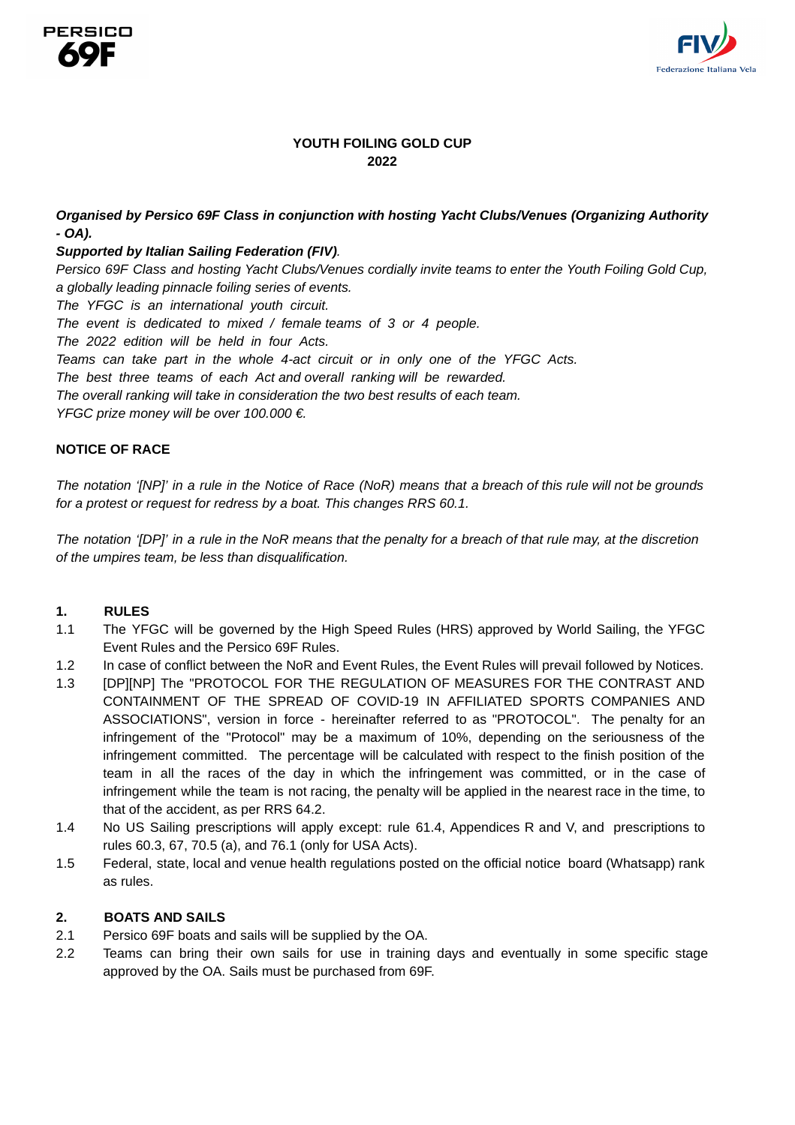



# **YOUTH FOILING GOLD CUP 2022**

# *Organised by Persico 69F Class in conjunction with hosting Yacht Clubs/Venues (Organizing Authority - OA).*

## *Supported by Italian Sailing Federation (FIV).*

Persico 69F Class and hosting Yacht Clubs/Venues cordially invite teams to enter the Youth Foiling Gold Cup, *a globally leading pinnacle foiling series of events.*

*The YFGC is an international youth circuit.*

*The event is dedicated to mixed / female teams of 3 or 4 people.*

*The 2022 edition will be held in four Acts.*

*Teams can take part in the whole 4-act circuit or in only one of the YFGC Acts.*

*The best three teams of each Act and overall ranking will be rewarded.*

*The overall ranking will take in consideration the two best results of each team.*

*YFGC prize money will be over 100.000 €.*

# **NOTICE OF RACE**

The notation '[NP]' in a rule in the Notice of Race (NoR) means that a breach of this rule will not be grounds *for a protest or request for redress by a boat. This changes RRS 60.1.*

The notation '[DP]' in a rule in the NoR means that the penalty for a breach of that rule may, at the discretion *of the umpires team, be less than disqualification.*

### **1. RULES**

- 1.1 The YFGC will be governed by the High Speed Rules (HRS) approved by World Sailing, the YFGC Event Rules and the Persico 69F Rules.
- 1.2 In case of conflict between the NoR and Event Rules, the Event Rules will prevail followed by Notices.
- 1.3 [DP][NP] The "PROTOCOL FOR THE REGULATION OF MEASURES FOR THE CONTRAST AND CONTAINMENT OF THE SPREAD OF COVID-19 IN AFFILIATED SPORTS COMPANIES AND ASSOCIATIONS", version in force - hereinafter referred to as "PROTOCOL". The penalty for an infringement of the "Protocol" may be a maximum of 10%, depending on the seriousness of the infringement committed. The percentage will be calculated with respect to the finish position of the team in all the races of the day in which the infringement was committed, or in the case of infringement while the team is not racing, the penalty will be applied in the nearest race in the time, to that of the accident, as per RRS 64.2.
- 1.4 No US Sailing prescriptions will apply except: rule 61.4, Appendices R and V, and prescriptions to rules 60.3, 67, 70.5 (a), and 76.1 (only for USA Acts).
- 1.5 Federal, state, local and venue health regulations posted on the official notice board (Whatsapp) rank as rules.

### **2. BOATS AND SAILS**

- 2.1 Persico 69F boats and sails will be supplied by the OA.
- 2.2 Teams can bring their own sails for use in training days and eventually in some specific stage approved by the OA. Sails must be purchased from 69F.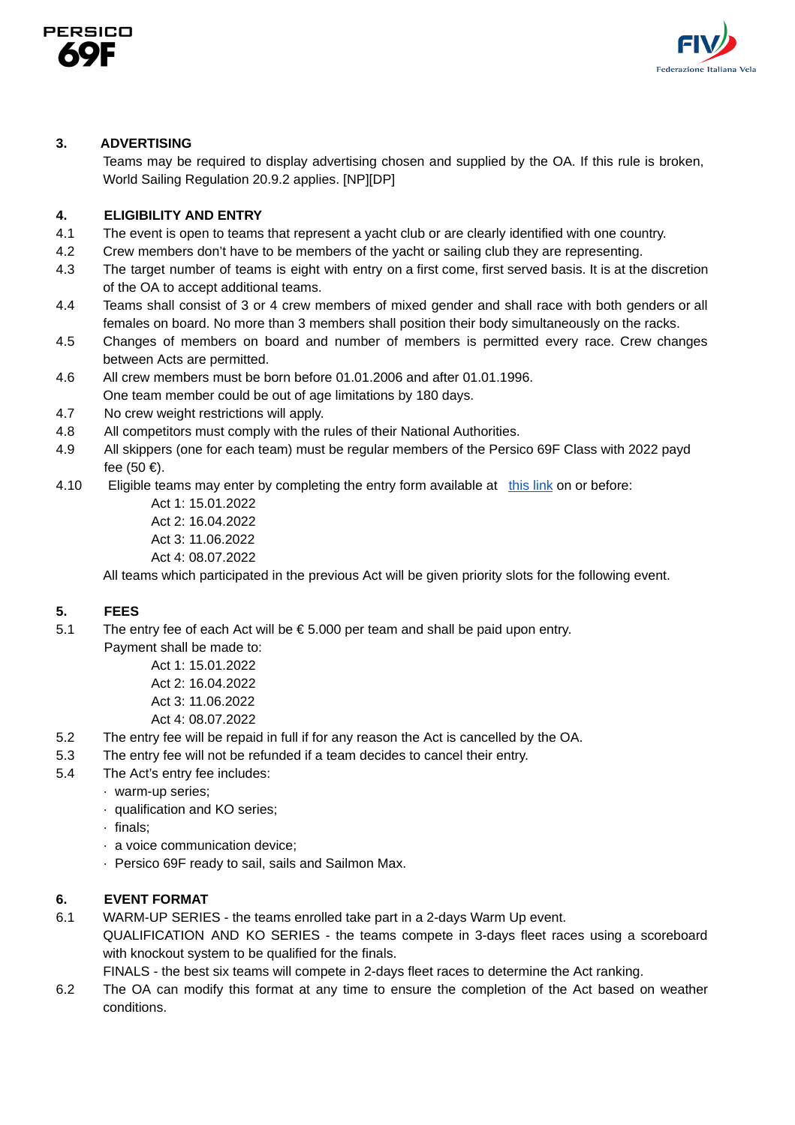



## **3. ADVERTISING**

Teams may be required to display advertising chosen and supplied by the OA. If this rule is broken, World Sailing Regulation 20.9.2 applies. [NP][DP]

# **4. ELIGIBILITY AND ENTRY**

- 4.1 The event is open to teams that represent a yacht club or are clearly identified with one country.
- 4.2 Crew members don't have to be members of the yacht or sailing club they are representing.
- 4.3 The target number of teams is eight with entry on a first come, first served basis. It is at the discretion of the OA to accept additional teams.
- 4.4 Teams shall consist of 3 or 4 crew members of mixed gender and shall race with both genders or all females on board. No more than 3 members shall position their body simultaneously on the racks.
- 4.5 Changes of members on board and number of members is permitted every race. Crew changes between Acts are permitted.
- 4.6 All crew members must be born before 01.01.2006 and after 01.01.1996.
- One team member could be out of age limitations by 180 days.
- 4.7 No crew weight restrictions will apply.
- 4.8 All competitors must comply with the rules of their National Authorities.
- 4.9 All skippers (one for each team) must be regular members of the Persico 69F Class with 2022 payd fee (50 €).
- 4.10 Eligible teams may enter by completing the entry form available at [this](https://www.dropbox.com/sh/zt1b9hfhbgn2jii/AAC71D8ZiiHMZ_YNrESMwrXna?dl=0) link on or before:

Act 1: 15.01.2022 Act 2: 16.04.2022 Act 3: 11.06.2022 Act 4: 08.07.2022

All teams which participated in the previous Act will be given priority slots for the following event.

### **5. FEES**

5.1 The entry fee of each Act will be  $\epsilon$  5.000 per team and shall be paid upon entry.

Payment shall be made to:

Act 1: 15.01.2022 Act 2: 16.04.2022 Act 3: 11.06.2022 Act 4: 08.07.2022

- 5.2 The entry fee will be repaid in full if for any reason the Act is cancelled by the OA.
- 5.3 The entry fee will not be refunded if a team decides to cancel their entry.
- 5.4 The Act's entry fee includes:
	- · warm-up series;
		- · qualification and KO series;
		- · finals;
		- · a voice communication device;
		- · Persico 69F ready to sail, sails and Sailmon Max.

# **6. EVENT FORMAT**

- 6.1 WARM-UP SERIES the teams enrolled take part in a 2-days Warm Up event.
	- QUALIFICATION AND KO SERIES the teams compete in 3-days fleet races using a scoreboard with knockout system to be qualified for the finals.

FINALS - the best six teams will compete in 2-days fleet races to determine the Act ranking.

6.2 The OA can modify this format at any time to ensure the completion of the Act based on weather conditions.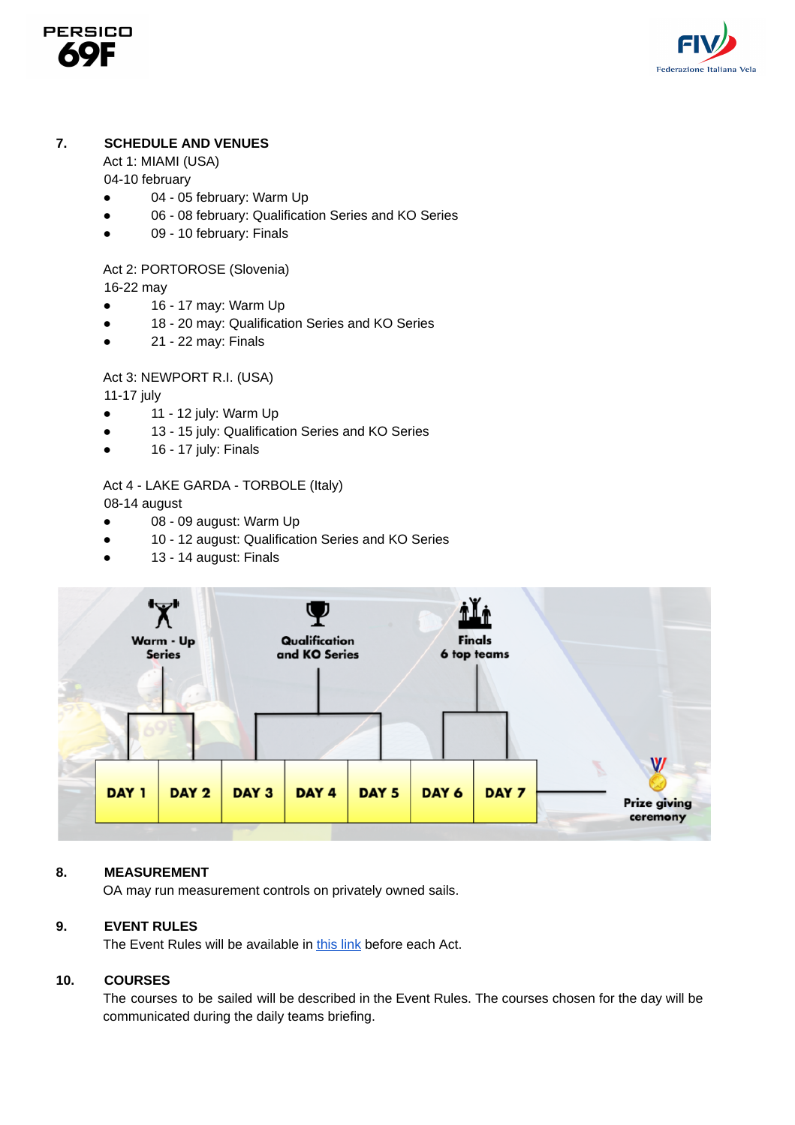



# **7. SCHEDULE AND VENUES**

Act 1: MIAMI (USA)

04-10 february

- 04 05 february: Warm Up
- 06 08 february: Qualification Series and KO Series
- 09 10 february: Finals

Act 2: PORTOROSE (Slovenia)

16-22 may

- $\bullet$  16 17 may: Warm Up
- 18 20 may: Qualification Series and KO Series
- 21 22 may: Finals

Act 3: NEWPORT R.I. (USA)

11-17 july

- $\bullet$  11 12 july: Warm Up
- 13 15 july: Qualification Series and KO Series
- $\bullet$  16 17 july: Finals

# Act 4 - LAKE GARDA - TORBOLE (Italy)

08-14 august

- 08 09 august: Warm Up
- 10 12 august: Qualification Series and KO Series
- 13 14 august: Finals



### **8. MEASUREMENT**

OA may run measurement controls on privately owned sails.

## **9. EVENT RULES**

The Event Rules will be available in [this](https://www.dropbox.com/sh/zt1b9hfhbgn2jii/AAC71D8ZiiHMZ_YNrESMwrXna?dl=0) link before each Act.

### **10. COURSES**

The courses to be sailed will be described in the Event Rules. The courses chosen for the day will be communicated during the daily teams briefing.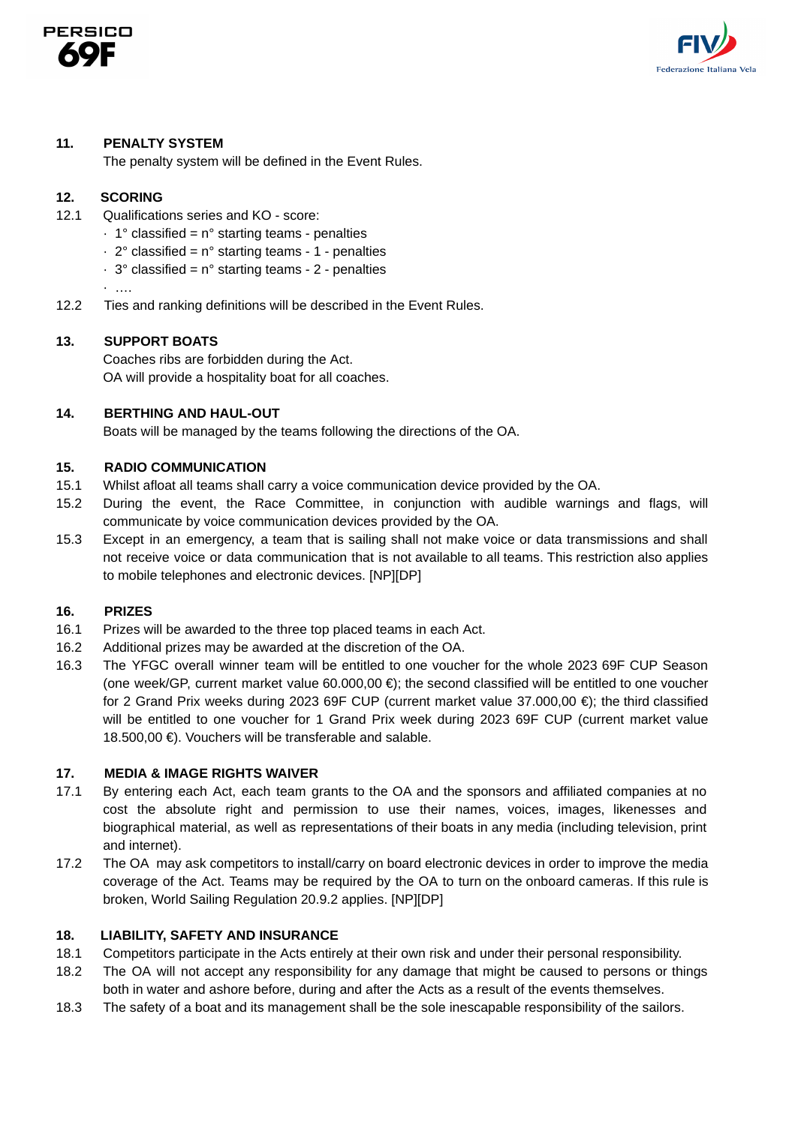



#### **11. PENALTY SYSTEM**

The penalty system will be defined in the Event Rules.

#### **12. SCORING**

- 12.1 Qualifications series and KO score:
	- $\cdot$  1° classified = n° starting teams penalties
	- $\cdot$  2° classified = n° starting teams 1 penalties
	- $\cdot$  3° classified = n° starting teams 2 penalties

· ….

12.2 Ties and ranking definitions will be described in the Event Rules.

#### **13. SUPPORT BOATS**

Coaches ribs are forbidden during the Act. OA will provide a hospitality boat for all coaches.

#### **14. BERTHING AND HAUL-OUT**

Boats will be managed by the teams following the directions of the OA.

#### **15. RADIO COMMUNICATION**

- 15.1 Whilst afloat all teams shall carry a voice communication device provided by the OA.
- 15.2 During the event, the Race Committee, in conjunction with audible warnings and flags, will communicate by voice communication devices provided by the OA.
- 15.3 Except in an emergency, a team that is sailing shall not make voice or data transmissions and shall not receive voice or data communication that is not available to all teams. This restriction also applies to mobile telephones and electronic devices. [NP][DP]

#### **16. PRIZES**

- 16.1 Prizes will be awarded to the three top placed teams in each Act.
- 16.2 Additional prizes may be awarded at the discretion of the OA.
- 16.3 The YFGC overall winner team will be entitled to one voucher for the whole 2023 69F CUP Season (one week/GP, current market value 60.000,00 €); the second classified will be entitled to one voucher for 2 Grand Prix weeks during 2023 69F CUP (current market value 37.000,00 €); the third classified will be entitled to one voucher for 1 Grand Prix week during 2023 69F CUP (current market value 18.500,00 €). Vouchers will be transferable and salable.

### **17. MEDIA & IMAGE RIGHTS WAIVER**

- 17.1 By entering each Act, each team grants to the OA and the sponsors and affiliated companies at no cost the absolute right and permission to use their names, voices, images, likenesses and biographical material, as well as representations of their boats in any media (including television, print and internet).
- 17.2 The OA may ask competitors to install/carry on board electronic devices in order to improve the media coverage of the Act. Teams may be required by the OA to turn on the onboard cameras. If this rule is broken, World Sailing Regulation 20.9.2 applies. [NP][DP]

#### **18. LIABILITY, SAFETY AND INSURANCE**

- 18.1 Competitors participate in the Acts entirely at their own risk and under their personal responsibility.
- 18.2 The OA will not accept any responsibility for any damage that might be caused to persons or things both in water and ashore before, during and after the Acts as a result of the events themselves.
- 18.3 The safety of a boat and its management shall be the sole inescapable responsibility of the sailors.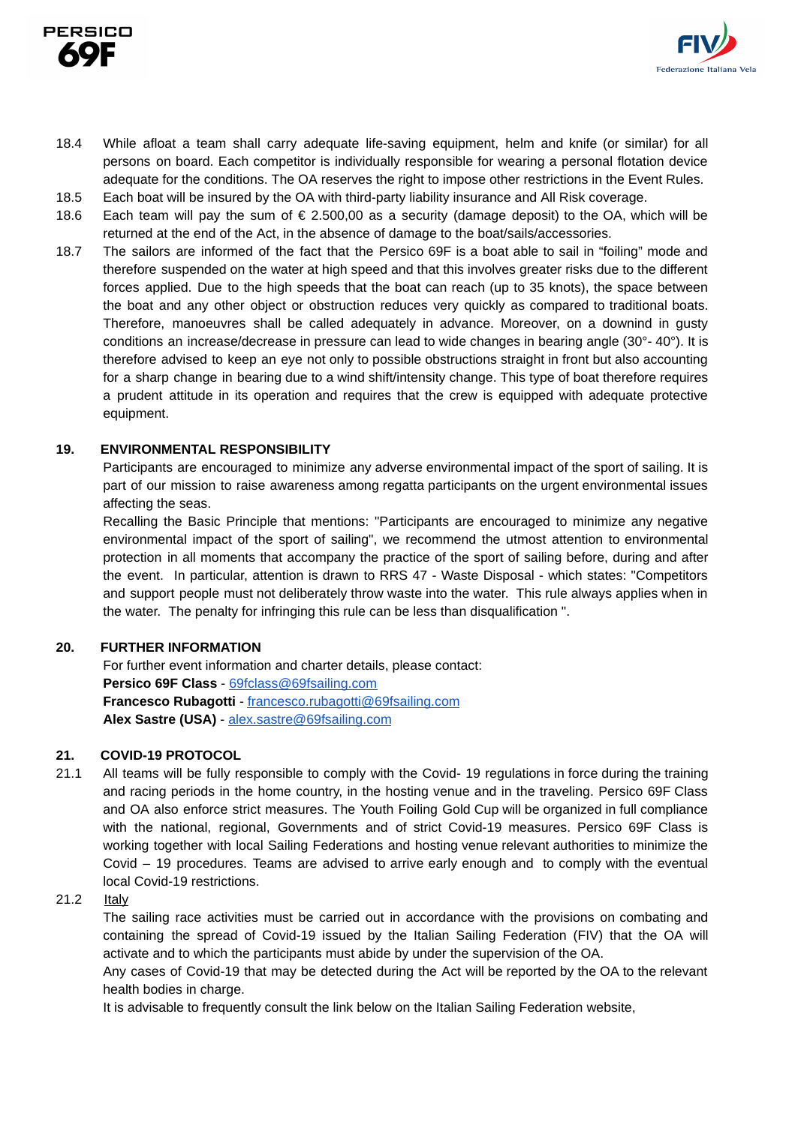



- 18.4 While afloat a team shall carry adequate life-saving equipment, helm and knife (or similar) for all persons on board. Each competitor is individually responsible for wearing a personal flotation device adequate for the conditions. The OA reserves the right to impose other restrictions in the Event Rules.
- 18.5 Each boat will be insured by the OA with third-party liability insurance and All Risk coverage.
- 18.6 Each team will pay the sum of € 2.500,00 as a security (damage deposit) to the OA, which will be returned at the end of the Act, in the absence of damage to the boat/sails/accessories.
- 18.7 The sailors are informed of the fact that the Persico 69F is a boat able to sail in "foiling" mode and therefore suspended on the water at high speed and that this involves greater risks due to the different forces applied. Due to the high speeds that the boat can reach (up to 35 knots), the space between the boat and any other object or obstruction reduces very quickly as compared to traditional boats. Therefore, manoeuvres shall be called adequately in advance. Moreover, on a downind in gusty conditions an increase/decrease in pressure can lead to wide changes in bearing angle (30°- 40°). It is therefore advised to keep an eye not only to possible obstructions straight in front but also accounting for a sharp change in bearing due to a wind shift/intensity change. This type of boat therefore requires a prudent attitude in its operation and requires that the crew is equipped with adequate protective equipment.

#### **19. ENVIRONMENTAL RESPONSIBILITY**

Participants are encouraged to minimize any adverse environmental impact of the sport of sailing. It is part of our mission to raise awareness among regatta participants on the urgent environmental issues affecting the seas.

Recalling the Basic Principle that mentions: "Participants are encouraged to minimize any negative environmental impact of the sport of sailing", we recommend the utmost attention to environmental protection in all moments that accompany the practice of the sport of sailing before, during and after the event. In particular, attention is drawn to RRS 47 - Waste Disposal - which states: "Competitors and support people must not deliberately throw waste into the water. This rule always applies when in the water. The penalty for infringing this rule can be less than disqualification ".

#### **20. FURTHER INFORMATION**

For further event information and charter details, please contact: **Persico 69F Class** - [69fclass@69fsailing.com](mailto:69fclass@69fsailing.com) **Francesco Rubagotti** - francesco.rubagotti[@69fsailing.com](mailto:yfwc@69fsailing.com) **Alex Sastre (USA)** - [alex.sastre@69fsailing.com](mailto:alex.sastre@69fsailing.com)

### **21. COVID-19 PROTOCOL**

21.1 All teams will be fully responsible to comply with the Covid- 19 regulations in force during the training and racing periods in the home country, in the hosting venue and in the traveling. Persico 69F Class and OA also enforce strict measures. The Youth Foiling Gold Cup will be organized in full compliance with the national, regional, Governments and of strict Covid-19 measures. Persico 69F Class is working together with local Sailing Federations and hosting venue relevant authorities to minimize the Covid – 19 procedures. Teams are advised to arrive early enough and to comply with the eventual local Covid-19 restrictions.

#### 21.2 Italy

The sailing race activities must be carried out in accordance with the provisions on combating and containing the spread of Covid-19 issued by the Italian Sailing Federation (FIV) that the OA will activate and to which the participants must abide by under the supervision of the OA.

Any cases of Covid-19 that may be detected during the Act will be reported by the OA to the relevant health bodies in charge.

It is advisable to frequently consult the link below on the Italian Sailing Federation website,